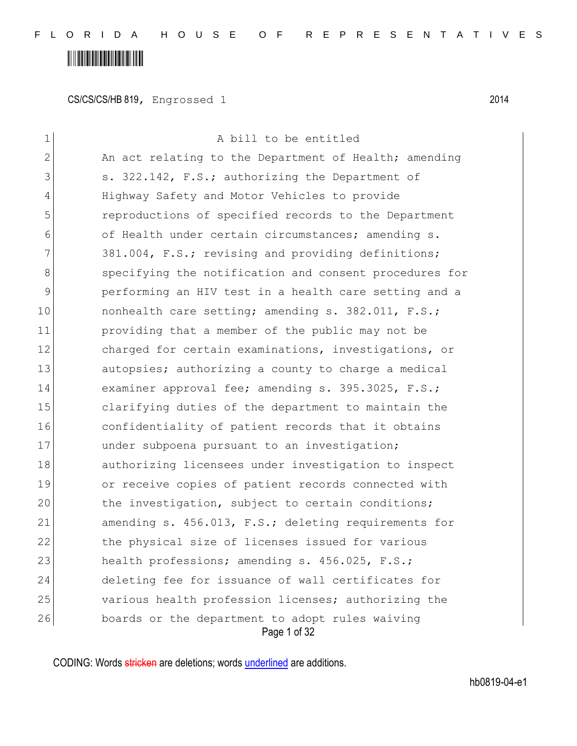# 

CS/CS/CS/HB 819, Engrossed 1 2014

| 1              | A bill to be entitled                                           |  |  |
|----------------|-----------------------------------------------------------------|--|--|
| $\overline{2}$ | An act relating to the Department of Health; amending           |  |  |
| 3              | s. 322.142, F.S.; authorizing the Department of                 |  |  |
| 4              | Highway Safety and Motor Vehicles to provide                    |  |  |
| 5              | reproductions of specified records to the Department            |  |  |
| 6              | of Health under certain circumstances; amending s.              |  |  |
| 7              | 381.004, F.S.; revising and providing definitions;              |  |  |
| 8              | specifying the notification and consent procedures for          |  |  |
| 9              | performing an HIV test in a health care setting and a           |  |  |
| 10             | nonhealth care setting; amending s. 382.011, F.S.;              |  |  |
| 11             | providing that a member of the public may not be                |  |  |
| 12             | charged for certain examinations, investigations, or            |  |  |
| 13             | autopsies; authorizing a county to charge a medical             |  |  |
| 14             | examiner approval fee; amending s. 395.3025, F.S.;              |  |  |
| 15             | clarifying duties of the department to maintain the             |  |  |
| 16             | confidentiality of patient records that it obtains              |  |  |
| 17             | under subpoena pursuant to an investigation;                    |  |  |
| 18             | authorizing licensees under investigation to inspect            |  |  |
| 19             | or receive copies of patient records connected with             |  |  |
| 20             | the investigation, subject to certain conditions;               |  |  |
| 21             | amending s. 456.013, F.S.; deleting requirements for            |  |  |
| 22             | the physical size of licenses issued for various                |  |  |
| 23             | health professions; amending s. 456.025, F.S.;                  |  |  |
| 24             | deleting fee for issuance of wall certificates for              |  |  |
| 25             | various health profession licenses; authorizing the             |  |  |
| 26             | boards or the department to adopt rules waiving<br>Page 1 of 32 |  |  |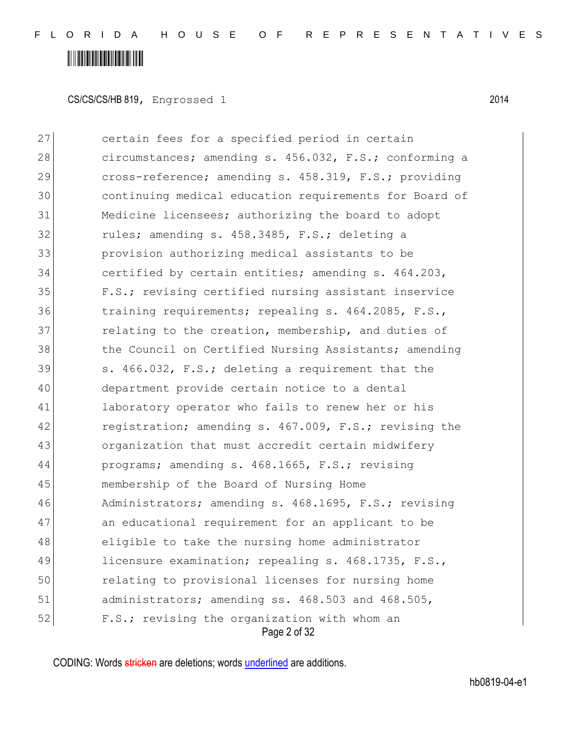CS/CS/CS/HB 819, Engrossed 1 2014

Page 2 of 32 certain fees for a specified period in certain 28 circumstances; amending s. 456.032, F.S.; conforming a cross-reference; amending s. 458.319, F.S.; providing continuing medical education requirements for Board of Medicine licensees; authorizing the board to adopt 32 rules; amending s. 458.3485, F.S.; deleting a provision authorizing medical assistants to be certified by certain entities; amending s. 464.203, F.S.; revising certified nursing assistant inservice training requirements; repealing s. 464.2085, F.S., **relating to the creation, membership, and duties of** 38 the Council on Certified Nursing Assistants; amending s. 466.032, F.S.; deleting a requirement that the department provide certain notice to a dental 41 laboratory operator who fails to renew her or his 42 registration; amending s. 467.009, F.S.; revising the organization that must accredit certain midwifery programs; amending s. 468.1665, F.S.; revising membership of the Board of Nursing Home Administrators; amending s. 468.1695, F.S.; revising 47 an educational requirement for an applicant to be eligible to take the nursing home administrator 49 licensure examination; repealing s. 468.1735, F.S., relating to provisional licenses for nursing home administrators; amending ss. 468.503 and 468.505, 52 F.S.; revising the organization with whom an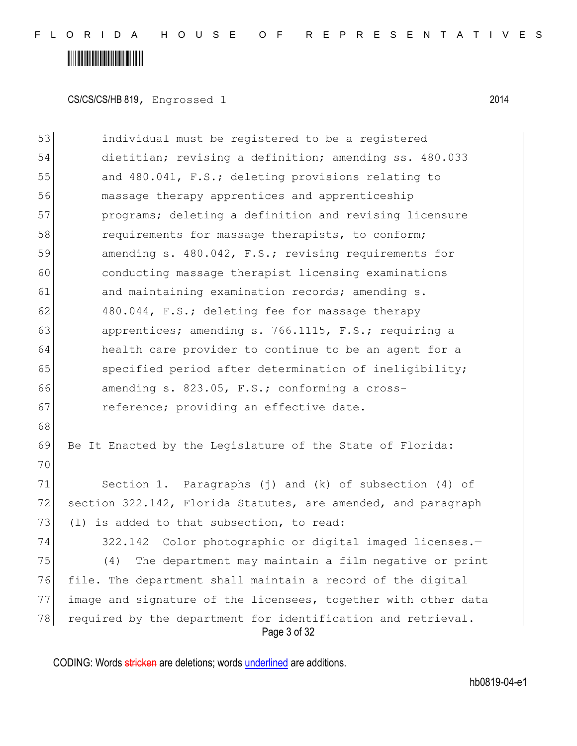# 

CS/CS/CS/HB 819, Engrossed 1 2014

| 53 | individual must be registered to be a registered                             |
|----|------------------------------------------------------------------------------|
| 54 | dietitian; revising a definition; amending ss. 480.033                       |
| 55 | and 480.041, F.S.; deleting provisions relating to                           |
| 56 | massage therapy apprentices and apprenticeship                               |
| 57 | programs; deleting a definition and revising licensure                       |
| 58 | requirements for massage therapists, to conform;                             |
| 59 | amending s. 480.042, F.S.; revising requirements for                         |
| 60 | conducting massage therapist licensing examinations                          |
| 61 | and maintaining examination records; amending s.                             |
| 62 | 480.044, F.S.; deleting fee for massage therapy                              |
| 63 | apprentices; amending s. 766.1115, F.S.; requiring a                         |
| 64 | health care provider to continue to be an agent for a                        |
| 65 | specified period after determination of ineligibility;                       |
| 66 | amending s. 823.05, F.S.; conforming a cross-                                |
| 67 | reference; providing an effective date.                                      |
| 68 |                                                                              |
| 69 | Be It Enacted by the Legislature of the State of Florida:                    |
| 70 |                                                                              |
| 71 | Section 1. Paragraphs $(j)$ and $(k)$ of subsection $(4)$ of                 |
| 72 | section 322.142, Florida Statutes, are amended, and paragraph                |
| 73 | is added to that subsection, to read:<br>(1)                                 |
| 74 | 322.142 Color photographic or digital imaged licenses.-                      |
| 75 | The department may maintain a film negative or print<br>(4)                  |
| 76 | file. The department shall maintain a record of the digital                  |
| 77 | image and signature of the licensees, together with other data               |
| 78 | required by the department for identification and retrieval.<br>Page 3 of 32 |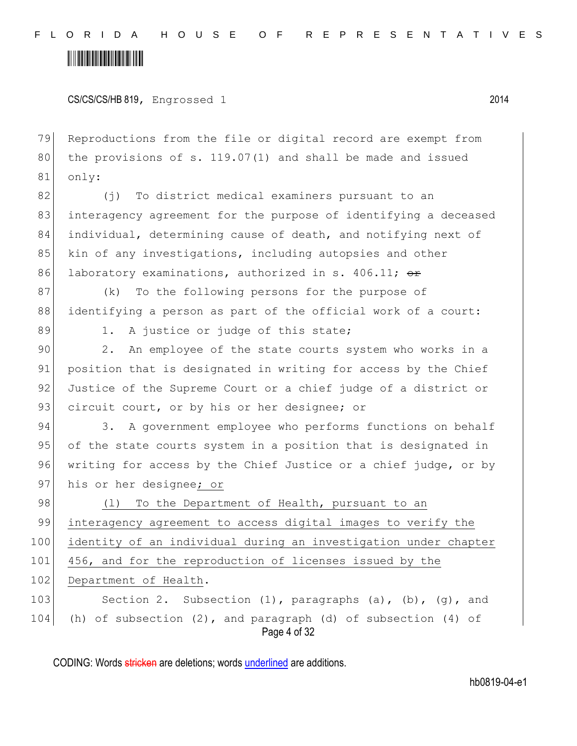CS/CS/CS/HB 819, Engrossed 1 2014

79 Reproductions from the file or digital record are exempt from 80 the provisions of s.  $119.07(1)$  and shall be made and issued 81 only:

82 (j) To district medical examiners pursuant to an 83 interagency agreement for the purpose of identifying a deceased 84 individual, determining cause of death, and notifying next of 85 kin of any investigations, including autopsies and other 86 laboratory examinations, authorized in s. 406.11;  $\Theta$ r

87 (k) To the following persons for the purpose of 88 identifying a person as part of the official work of a court:

89 1. A justice or judge of this state;

90 2. An employee of the state courts system who works in a 91 position that is designated in writing for access by the Chief 92 Justice of the Supreme Court or a chief judge of a district or 93 circuit court, or by his or her designee; or

94 3. A government employee who performs functions on behalf 95 of the state courts system in a position that is designated in 96 writing for access by the Chief Justice or a chief judge, or by 97 his or her designee; or

98 (1) To the Department of Health, pursuant to an 99 interagency agreement to access digital images to verify the 100 identity of an individual during an investigation under chapter 101 456, and for the reproduction of licenses issued by the 102 Department of Health. 103 Section 2. Subsection (1), paragraphs (a), (b), (q), and 104 (h) of subsection  $(2)$ , and paragraph  $(d)$  of subsection  $(4)$  of

Page 4 of 32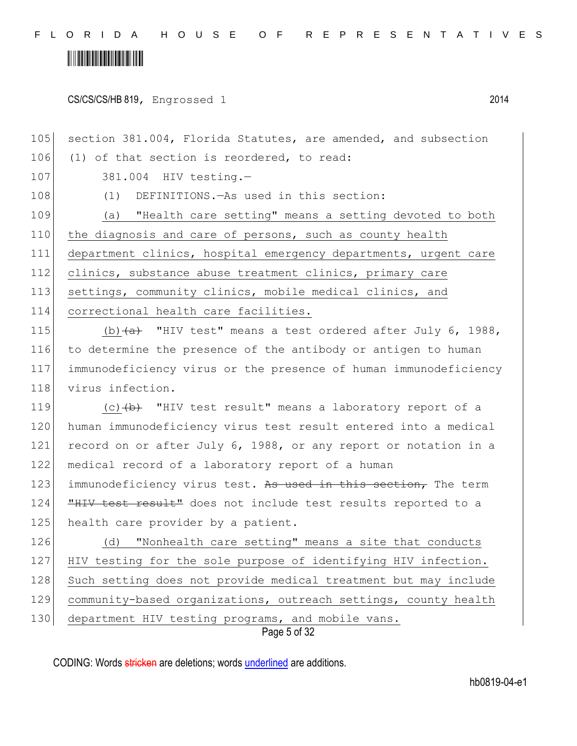CS/CS/CS/HB 819, Engrossed 1 2014

105 section 381.004, Florida Statutes, are amended, and subsection 106 (1) of that section is reordered, to read: 107 381.004 HIV testing.-108 (1) DEFINITIONS.—As used in this section: 109 (a) "Health care setting" means a setting devoted to both 110 the diagnosis and care of persons, such as county health 111 department clinics, hospital emergency departments, urgent care 112 clinics, substance abuse treatment clinics, primary care 113 settings, community clinics, mobile medical clinics, and 114 correctional health care facilities. 115 (b)  $\left\{a\right\}$  "HIV test" means a test ordered after July 6, 1988, 116 to determine the presence of the antibody or antigen to human 117 immunodeficiency virus or the presence of human immunodeficiency 118 virus infection. 119  $(c)$   $(b)$  "HIV test result" means a laboratory report of a 120 human immunodeficiency virus test result entered into a medical 121 record on or after July 6, 1988, or any report or notation in a 122 medical record of a laboratory report of a human 123 immunodeficiency virus test. As used in this section, The term 124 **"HIV test result"** does not include test results reported to a 125 health care provider by a patient.

Page 5 of 32 126 (d) "Nonhealth care setting" means a site that conducts 127 HIV testing for the sole purpose of identifying HIV infection. 128 Such setting does not provide medical treatment but may include 129 community-based organizations, outreach settings, county health 130 department HIV testing programs, and mobile vans.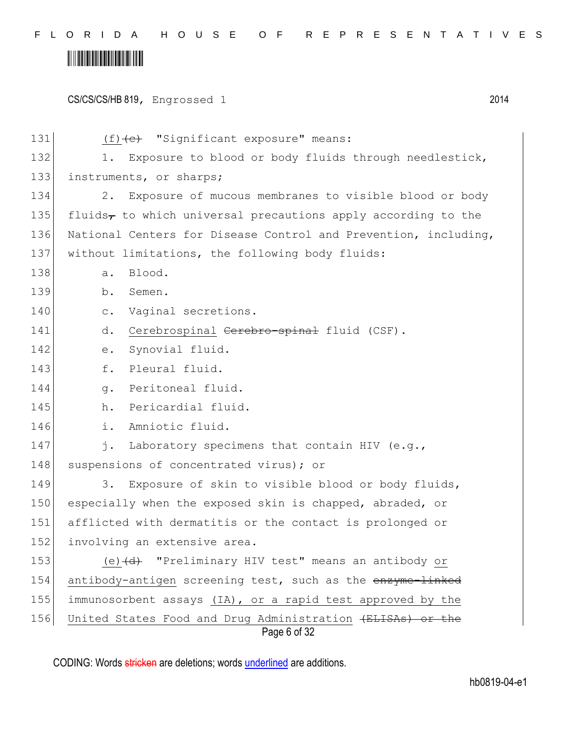# <u> III III III III III III III II</u>

CS/CS/CS/HB 819, Engrossed 1 2014 Page 6 of 32 131 (f) (c) "Significant exposure" means: 132 1. Exposure to blood or body fluids through needlestick, 133 instruments, or sharps; 134 2. Exposure of mucous membranes to visible blood or body 135 fluids, to which universal precautions apply according to the 136 National Centers for Disease Control and Prevention, including, 137 | without limitations, the following body fluids: 138 a. Blood. 139 b. Semen. 140 c. Vaginal secretions. 141 d. Cerebrospinal <del>Cerebro-spinal</del> fluid (CSF). 142 e. Synovial fluid. 143 f. Pleural fluid. 144 g. Peritoneal fluid. 145 h. Pericardial fluid. 146 i. Amniotic fluid. 147 j. Laboratory specimens that contain HIV (e.g., 148 suspensions of concentrated virus); or 149 3. Exposure of skin to visible blood or body fluids, 150 especially when the exposed skin is chapped, abraded, or 151 afflicted with dermatitis or the contact is prolonged or 152 involving an extensive area. 153 (e) (d) "Preliminary HIV test" means an antibody or 154 antibody-antigen screening test, such as the enzyme-linked 155 immunosorbent assays (IA), or a rapid test approved by the 156 United States Food and Drug Administration (ELISAs) or the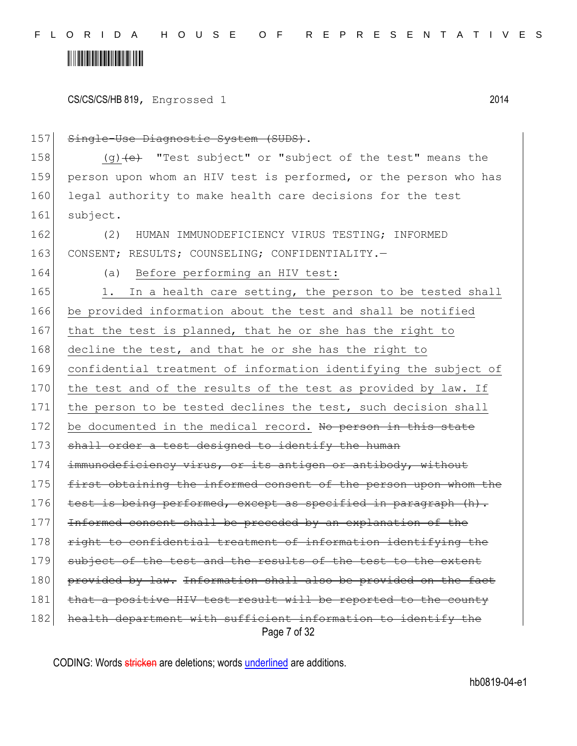# <u> Alban Alban Martin Alban A</u>

CS/CS/CS/HB 819, Engrossed 1 2014

Page 7 of 32 157 Single-Use Diagnostic System (SUDS). 158  $(q)$  (q)  $\left(e\right)$  "Test subject" or "subject of the test" means the 159 person upon whom an HIV test is performed, or the person who has 160 legal authority to make health care decisions for the test 161 subject. 162 (2) HUMAN IMMUNODEFICIENCY VIRUS TESTING; INFORMED 163 CONSENT; RESULTS; COUNSELING; CONFIDENTIALITY. 164 (a) Before performing an HIV test: 165 1. In a health care setting, the person to be tested shall 166 be provided information about the test and shall be notified 167 that the test is planned, that he or she has the right to 168 decline the test, and that he or she has the right to 169 confidential treatment of information identifying the subject of 170 the test and of the results of the test as provided by law. If 171 | the person to be tested declines the test, such decision shall 172 be documented in the medical record. No person in this state 173 shall order a test designed to identify the human 174 immunodeficiency virus, or its antigen or antibody, without 175 first obtaining the informed consent of the person upon whom the  $176$  test is being performed, except as specified in paragraph  $(h)$ . 177 Informed consent shall be preceded by an explanation of the 178 right to confidential treatment of information identifying the 179 subject of the test and the results of the test to the extent 180 provided by law. Information shall also be provided on the fact 181 that a positive HIV test result will be reported to the county 182 health department with sufficient information to identify the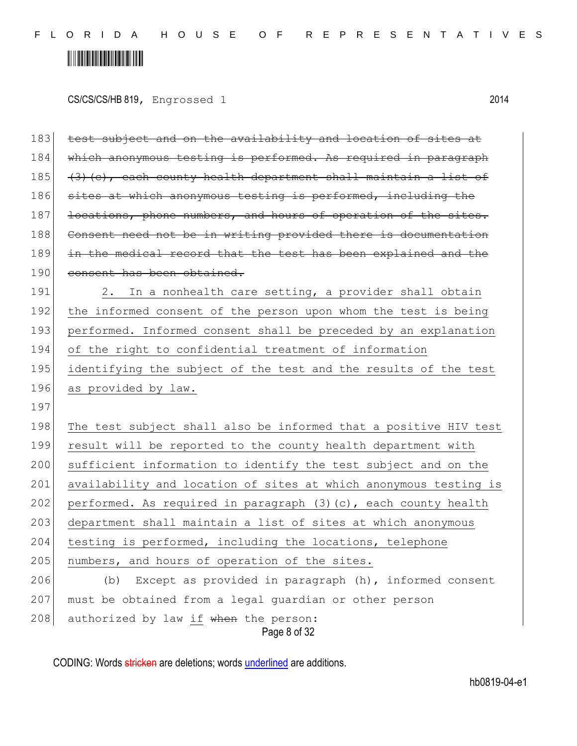# 

CS/CS/CS/HB 819, Engrossed 1 2014

| 183 | test subject and on the availability and location of sites at    |  |  |  |
|-----|------------------------------------------------------------------|--|--|--|
| 184 | which anonymous testing is performed. As required in paragraph   |  |  |  |
| 185 | (3) (c), each county health department shall maintain a list of  |  |  |  |
| 186 | sites at which anonymous testing is performed, including the     |  |  |  |
| 187 | locations, phone numbers, and hours of operation of the sites.   |  |  |  |
| 188 | Consent need not be in writing provided there is documentation   |  |  |  |
| 189 | in the medical record that the test has been explained and the   |  |  |  |
| 190 | consent has been obtained.                                       |  |  |  |
| 191 | 2. In a nonhealth care setting, a provider shall obtain          |  |  |  |
| 192 | the informed consent of the person upon whom the test is being   |  |  |  |
| 193 | performed. Informed consent shall be preceded by an explanation  |  |  |  |
| 194 | of the right to confidential treatment of information            |  |  |  |
| 195 | identifying the subject of the test and the results of the test  |  |  |  |
| 196 | as provided by law.                                              |  |  |  |
| 197 |                                                                  |  |  |  |
| 198 | The test subject shall also be informed that a positive HIV test |  |  |  |
| 199 | result will be reported to the county health department with     |  |  |  |
| 200 | sufficient information to identify the test subject and on the   |  |  |  |
| 201 | availability and location of sites at which anonymous testing is |  |  |  |
| 202 | performed. As required in paragraph (3)(c), each county health   |  |  |  |
| 203 | department shall maintain a list of sites at which anonymous     |  |  |  |
| 204 | testing is performed, including the locations, telephone         |  |  |  |
| 205 | numbers, and hours of operation of the sites.                    |  |  |  |
| 206 | Except as provided in paragraph (h), informed consent<br>(b)     |  |  |  |
| 207 | must be obtained from a legal guardian or other person           |  |  |  |
| 208 | authorized by law if when the person:<br>Page 8 of 32            |  |  |  |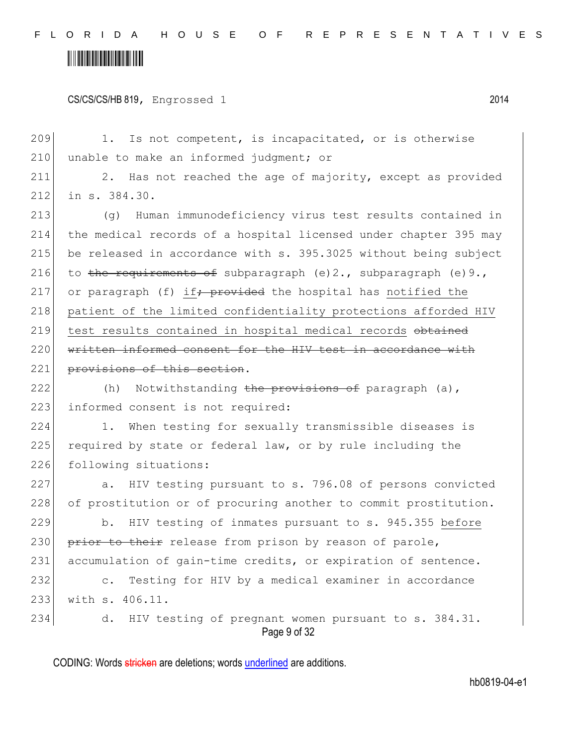CS/CS/CS/HB 819, Engrossed 1 2014

Page 9 of 32 209 1. Is not competent, is incapacitated, or is otherwise 210 unable to make an informed judgment; or 211 2. Has not reached the age of majority, except as provided 212 in s. 384.30. 213 (g) Human immunodeficiency virus test results contained in 214 the medical records of a hospital licensed under chapter 395 may 215 be released in accordance with s. 395.3025 without being subject 216 to the requirements of subparagraph (e)2., subparagraph (e)9., 217 or paragraph (f) if  $\frac{1}{2}$  provided the hospital has notified the 218 patient of the limited confidentiality protections afforded HIV 219 test results contained in hospital medical records obtained 220 written informed consent for the HIV test in accordance with 221 provisions of this section. 222  $(h)$  Notwithstanding the provisions of paragraph (a), 223 informed consent is not required: 224 1. When testing for sexually transmissible diseases is 225 required by state or federal law, or by rule including the 226 following situations: 227 a. HIV testing pursuant to s. 796.08 of persons convicted 228 of prostitution or of procuring another to commit prostitution. 229 b. HIV testing of inmates pursuant to s. 945.355 before 230 prior to their release from prison by reason of parole, 231 accumulation of gain-time credits, or expiration of sentence. 232 c. Testing for HIV by a medical examiner in accordance 233 with s. 406.11. 234 d. HIV testing of pregnant women pursuant to s. 384.31.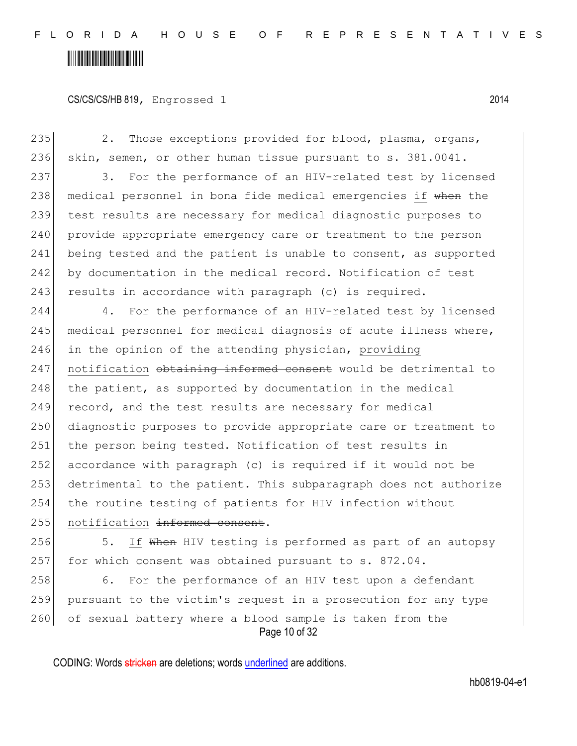#### CS/CS/CS/HB 819, Engrossed 1 2014

235 2. Those exceptions provided for blood, plasma, organs, 236 skin, semen, or other human tissue pursuant to s. 381.0041. 237 3. For the performance of an HIV-related test by licensed 238 medical personnel in bona fide medical emergencies if when the 239 test results are necessary for medical diagnostic purposes to 240 provide appropriate emergency care or treatment to the person 241 being tested and the patient is unable to consent, as supported 242 by documentation in the medical record. Notification of test 243 results in accordance with paragraph (c) is required. 244 4. For the performance of an HIV-related test by licensed 245 | medical personnel for medical diagnosis of acute illness where, 246 in the opinion of the attending physician, providing 247 notification obtaining informed consent would be detrimental to 248 the patient, as supported by documentation in the medical 249 record, and the test results are necessary for medical 250 diagnostic purposes to provide appropriate care or treatment to 251 the person being tested. Notification of test results in 252 accordance with paragraph (c) is required if it would not be 253 detrimental to the patient. This subparagraph does not authorize 254 the routine testing of patients for HIV infection without 255 notification informed consent.

256 5. If When HIV testing is performed as part of an autopsy 257 for which consent was obtained pursuant to s. 872.04.

Page 10 of 32 258 6. For the performance of an HIV test upon a defendant 259 pursuant to the victim's request in a prosecution for any type 260 of sexual battery where a blood sample is taken from the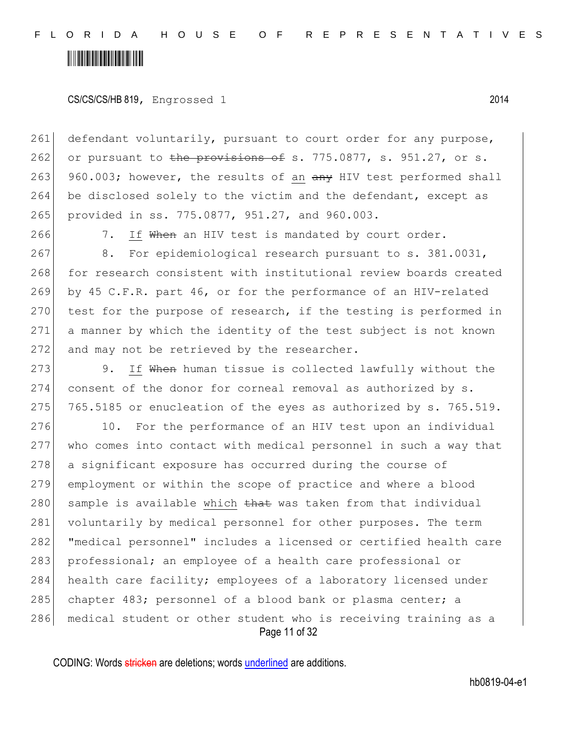CS/CS/CS/HB 819, Engrossed 1 2014

261 defendant voluntarily, pursuant to court order for any purpose, 262 or pursuant to the provisions of s. 775.0877, s. 951.27, or s. 263 960.003; however, the results of an any HIV test performed shall 264 be disclosed solely to the victim and the defendant, except as 265 provided in ss. 775.0877, 951.27, and 960.003.

266 7. If When an HIV test is mandated by court order.

267 8. For epidemiological research pursuant to s. 381.0031, 268 for research consistent with institutional review boards created 269 by 45 C.F.R. part 46, or for the performance of an HIV-related 270 test for the purpose of research, if the testing is performed in 271 a manner by which the identity of the test subject is not known 272 and may not be retrieved by the researcher.

273 9. If When human tissue is collected lawfully without the 274 consent of the donor for corneal removal as authorized by s. 275  $765.5185$  or enucleation of the eyes as authorized by s. 765.519.

Page 11 of 32 276 10. For the performance of an HIV test upon an individual 277 who comes into contact with medical personnel in such a way that 278 a significant exposure has occurred during the course of 279 employment or within the scope of practice and where a blood 280 sample is available which that was taken from that individual 281 voluntarily by medical personnel for other purposes. The term 282| "medical personnel" includes a licensed or certified health care 283 professional; an employee of a health care professional or 284 health care facility; employees of a laboratory licensed under 285 chapter 483; personnel of a blood bank or plasma center; a 286 medical student or other student who is receiving training as a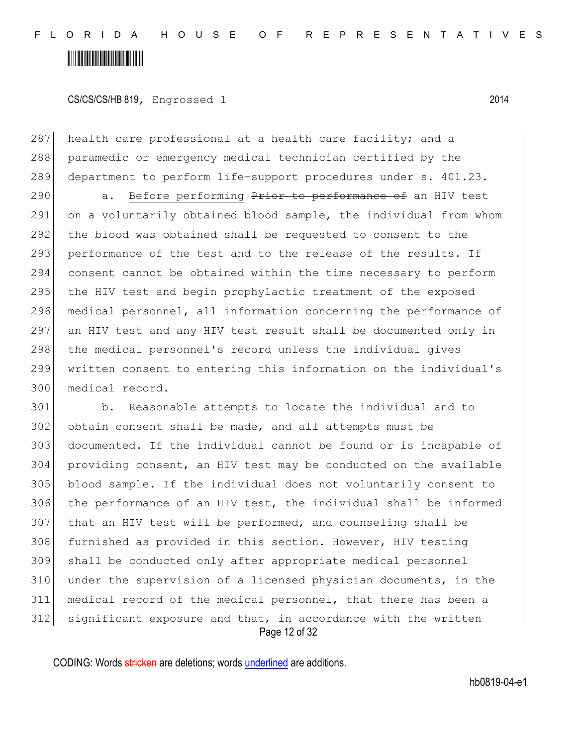CS/CS/CS/HB 819, Engrossed 1 2014

287 health care professional at a health care facility; and a 288 paramedic or emergency medical technician certified by the 289 department to perform life-support procedures under s. 401.23.

290 a. Before performing Prior to performance of an HIV test 291 on a voluntarily obtained blood sample, the individual from whom 292 the blood was obtained shall be requested to consent to the 293 performance of the test and to the release of the results. If 294 consent cannot be obtained within the time necessary to perform 295 the HIV test and begin prophylactic treatment of the exposed 296 medical personnel, all information concerning the performance of 297 an HIV test and any HIV test result shall be documented only in 298 | the medical personnel's record unless the individual gives 299 written consent to entering this information on the individual's 300 medical record.

Page 12 of 32 b. Reasonable attempts to locate the individual and to obtain consent shall be made, and all attempts must be documented. If the individual cannot be found or is incapable of providing consent, an HIV test may be conducted on the available blood sample. If the individual does not voluntarily consent to 306 | the performance of an HIV test, the individual shall be informed that an HIV test will be performed, and counseling shall be 308 furnished as provided in this section. However, HIV testing shall be conducted only after appropriate medical personnel 310 under the supervision of a licensed physician documents, in the medical record of the medical personnel, that there has been a significant exposure and that, in accordance with the written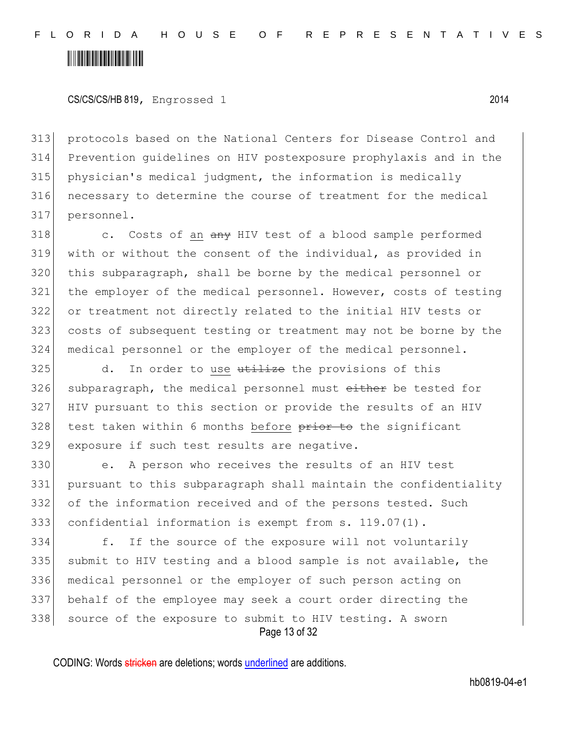CS/CS/CS/HB 819, Engrossed 1 2014

 protocols based on the National Centers for Disease Control and Prevention guidelines on HIV postexposure prophylaxis and in the physician's medical judgment, the information is medically necessary to determine the course of treatment for the medical personnel.

 c. Costs of an  $\frac{am}{y}$  HIV test of a blood sample performed with or without the consent of the individual, as provided in this subparagraph, shall be borne by the medical personnel or the employer of the medical personnel. However, costs of testing or treatment not directly related to the initial HIV tests or costs of subsequent testing or treatment may not be borne by the medical personnel or the employer of the medical personnel.

325 d. In order to use utilize the provisions of this 326 subparagraph, the medical personnel must either be tested for HIV pursuant to this section or provide the results of an HIV test taken within 6 months before  $\frac{1}{2}$  to the significant 329 exposure if such test results are negative.

 e. A person who receives the results of an HIV test pursuant to this subparagraph shall maintain the confidentiality of the information received and of the persons tested. Such confidential information is exempt from s. 119.07(1).

Page 13 of 32 f. If the source of the exposure will not voluntarily 335 submit to HIV testing and a blood sample is not available, the medical personnel or the employer of such person acting on behalf of the employee may seek a court order directing the 338 source of the exposure to submit to HIV testing. A sworn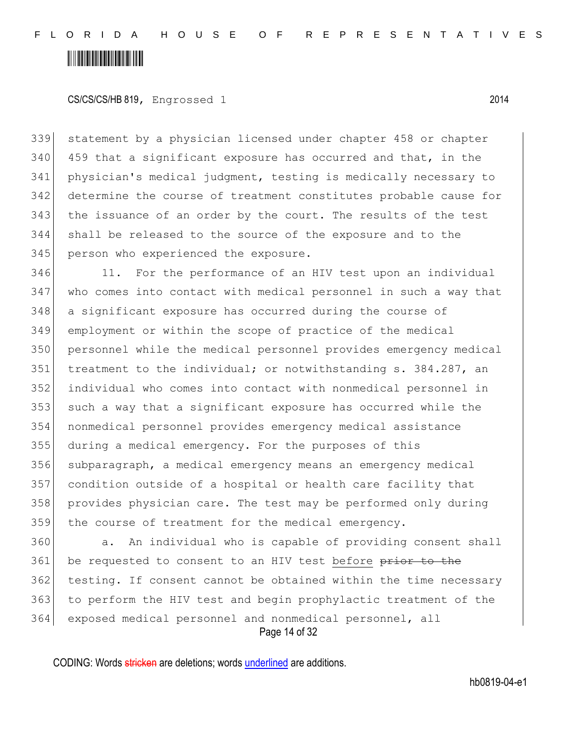#### 

CS/CS/CS/HB 819, Engrossed 1 2014

 statement by a physician licensed under chapter 458 or chapter 459 that a significant exposure has occurred and that, in the physician's medical judgment, testing is medically necessary to determine the course of treatment constitutes probable cause for the issuance of an order by the court. The results of the test shall be released to the source of the exposure and to the 345 person who experienced the exposure.

346 11. For the performance of an HIV test upon an individual who comes into contact with medical personnel in such a way that a significant exposure has occurred during the course of employment or within the scope of practice of the medical personnel while the medical personnel provides emergency medical 351 treatment to the individual; or notwithstanding s. 384.287, an individual who comes into contact with nonmedical personnel in such a way that a significant exposure has occurred while the nonmedical personnel provides emergency medical assistance during a medical emergency. For the purposes of this subparagraph, a medical emergency means an emergency medical condition outside of a hospital or health care facility that provides physician care. The test may be performed only during the course of treatment for the medical emergency.

Page 14 of 32 360 a. An individual who is capable of providing consent shall 361 be requested to consent to an HIV test before prior to the testing. If consent cannot be obtained within the time necessary to perform the HIV test and begin prophylactic treatment of the exposed medical personnel and nonmedical personnel, all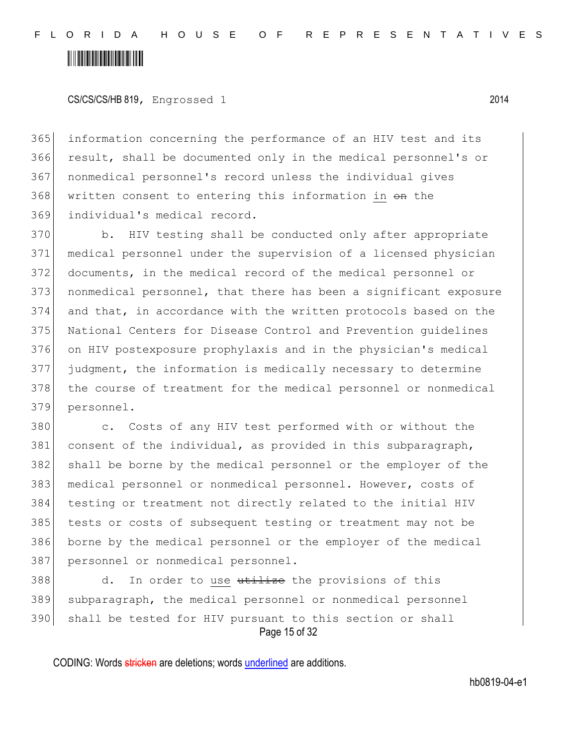CS/CS/CS/HB 819, Engrossed 1 2014

 information concerning the performance of an HIV test and its result, shall be documented only in the medical personnel's or nonmedical personnel's record unless the individual gives 368 written consent to entering this information in  $\Theta$ n the individual's medical record.

370 b. HIV testing shall be conducted only after appropriate medical personnel under the supervision of a licensed physician documents, in the medical record of the medical personnel or nonmedical personnel, that there has been a significant exposure and that, in accordance with the written protocols based on the National Centers for Disease Control and Prevention guidelines on HIV postexposure prophylaxis and in the physician's medical judgment, the information is medically necessary to determine the course of treatment for the medical personnel or nonmedical personnel.

380 c. Costs of any HIV test performed with or without the 381 consent of the individual, as provided in this subparagraph, shall be borne by the medical personnel or the employer of the medical personnel or nonmedical personnel. However, costs of testing or treatment not directly related to the initial HIV tests or costs of subsequent testing or treatment may not be borne by the medical personnel or the employer of the medical 387 personnel or nonmedical personnel.

Page 15 of 32 388 d. In order to use utilize the provisions of this 389 subparagraph, the medical personnel or nonmedical personnel 390 shall be tested for HIV pursuant to this section or shall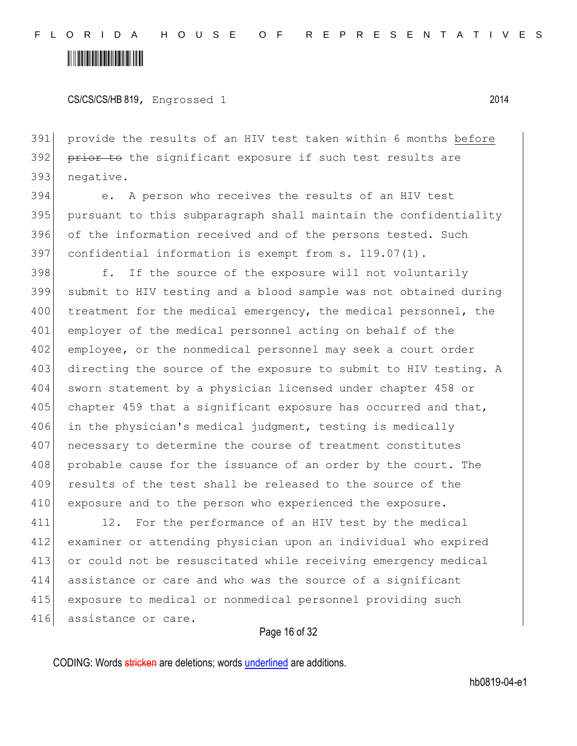CS/CS/CS/HB 819, Engrossed 1 2014

391 provide the results of an HIV test taken within 6 months before 392 prior to the significant exposure if such test results are 393 negative.

 e. A person who receives the results of an HIV test pursuant to this subparagraph shall maintain the confidentiality 396 of the information received and of the persons tested. Such confidential information is exempt from s. 119.07(1).

398 f. If the source of the exposure will not voluntarily 399 submit to HIV testing and a blood sample was not obtained during 400 treatment for the medical emergency, the medical personnel, the 401 employer of the medical personnel acting on behalf of the 402 employee, or the nonmedical personnel may seek a court order 403 directing the source of the exposure to submit to HIV testing. A 404 sworn statement by a physician licensed under chapter 458 or 405 chapter 459 that a significant exposure has occurred and that, 406 in the physician's medical judgment, testing is medically 407 necessary to determine the course of treatment constitutes 408 probable cause for the issuance of an order by the court. The 409 results of the test shall be released to the source of the 410 exposure and to the person who experienced the exposure.

411 12. For the performance of an HIV test by the medical examiner or attending physician upon an individual who expired 413 or could not be resuscitated while receiving emergency medical assistance or care and who was the source of a significant exposure to medical or nonmedical personnel providing such assistance or care.

#### Page 16 of 32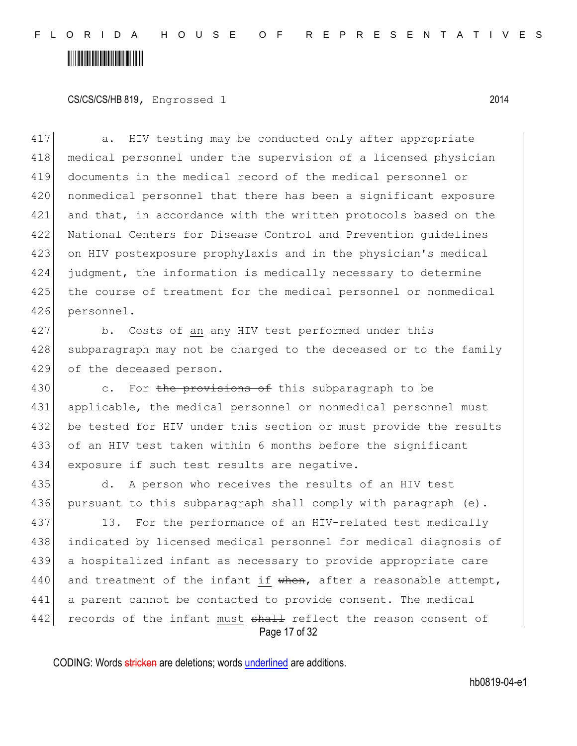CS/CS/CS/HB 819, Engrossed 1 2014

417 a. HIV testing may be conducted only after appropriate medical personnel under the supervision of a licensed physician documents in the medical record of the medical personnel or 420 | nonmedical personnel that there has been a significant exposure 421 and that, in accordance with the written protocols based on the National Centers for Disease Control and Prevention guidelines on HIV postexposure prophylaxis and in the physician's medical judgment, the information is medically necessary to determine the course of treatment for the medical personnel or nonmedical personnel.

427 b. Costs of an any HIV test performed under this 428 subparagraph may not be charged to the deceased or to the family 429 of the deceased person.

430 c. For the provisions of this subparagraph to be 431 applicable, the medical personnel or nonmedical personnel must 432 be tested for HIV under this section or must provide the results 433 of an HIV test taken within 6 months before the significant 434 exposure if such test results are negative.

435 d. A person who receives the results of an HIV test 436 pursuant to this subparagraph shall comply with paragraph (e).

Page 17 of 32 437 13. For the performance of an HIV-related test medically 438 indicated by licensed medical personnel for medical diagnosis of 439 a hospitalized infant as necessary to provide appropriate care 440 and treatment of the infant if  $when,$  after a reasonable attempt, 441 a parent cannot be contacted to provide consent. The medical 442 records of the infant must shall reflect the reason consent of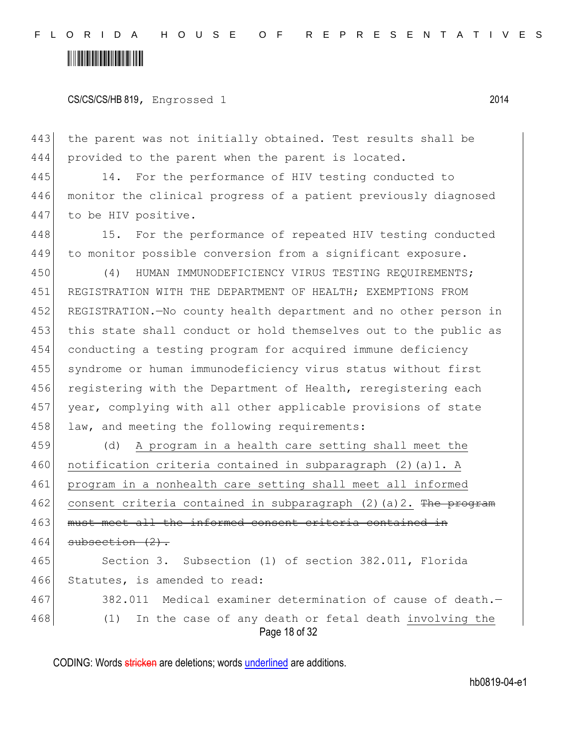CS/CS/CS/HB 819, Engrossed 1 2014

443 the parent was not initially obtained. Test results shall be 444 provided to the parent when the parent is located.

445 14. For the performance of HIV testing conducted to 446 monitor the clinical progress of a patient previously diagnosed 447 to be HIV positive.

448 15. For the performance of repeated HIV testing conducted 449 to monitor possible conversion from a significant exposure.

450 (4) HUMAN IMMUNODEFICIENCY VIRUS TESTING REQUIREMENTS; 451 REGISTRATION WITH THE DEPARTMENT OF HEALTH; EXEMPTIONS FROM 452 REGISTRATION.—No county health department and no other person in 453 this state shall conduct or hold themselves out to the public as 454 conducting a testing program for acquired immune deficiency 455 syndrome or human immunodeficiency virus status without first 456 registering with the Department of Health, reregistering each 457 year, complying with all other applicable provisions of state 458 law, and meeting the following requirements:

Page 18 of 32 459 (d) A program in a health care setting shall meet the 460 notification criteria contained in subparagraph  $(2)$  (a)1. A 461 program in a nonhealth care setting shall meet all informed 462 consent criteria contained in subparagraph  $(2)$  (a) 2. The program 463 must meet all the informed consent criteria contained in  $464$  subsection  $(2)$ . 465 Section 3. Subsection (1) of section 382.011, Florida 466 Statutes, is amended to read: 467 382.011 Medical examiner determination of cause of death. 468 (1) In the case of any death or fetal death involving the

CODING: Words stricken are deletions; words underlined are additions.

hb0819-04-e1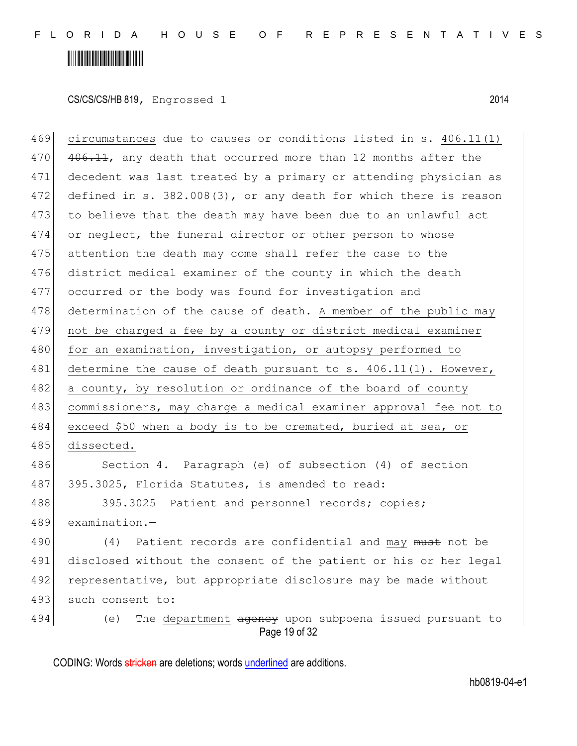CS/CS/CS/HB 819, Engrossed 1 2014

469 circumstances due to causes or conditions listed in s. 406.11(1) 470 406.11, any death that occurred more than 12 months after the 471 decedent was last treated by a primary or attending physician as 472 defined in s. 382.008(3), or any death for which there is reason 473 to believe that the death may have been due to an unlawful act 474 or neglect, the funeral director or other person to whose 475 attention the death may come shall refer the case to the 476 district medical examiner of the county in which the death 477 occurred or the body was found for investigation and 478 determination of the cause of death. A member of the public may 479 not be charged a fee by a county or district medical examiner 480 for an examination, investigation, or autopsy performed to 481 determine the cause of death pursuant to s.  $406.11(1)$ . However, 482 a county, by resolution or ordinance of the board of county 483 commissioners, may charge a medical examiner approval fee not to 484 exceed \$50 when a body is to be cremated, buried at sea, or 485 dissected. 486 Section 4. Paragraph (e) of subsection (4) of section 487 395.3025, Florida Statutes, is amended to read: 488 395.3025 Patient and personnel records; copies; 489 examination.— 490 (4) Patient records are confidential and may must not be 491 disclosed without the consent of the patient or his or her legal 492 representative, but appropriate disclosure may be made without

493 such consent to:

Page 19 of 32 494 (e) The department ageney upon subpoena issued pursuant to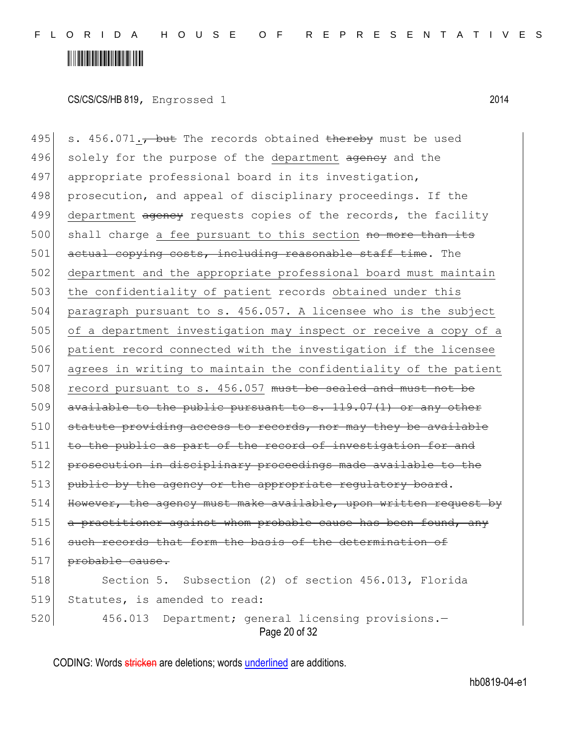#### <u> Alban Alban Martin Alban A</u>

CS/CS/CS/HB 819, Engrossed 1 2014

Page 20 of 32 495 s. 456.071. $\tau$  but The records obtained thereby must be used 496 solely for the purpose of the department agency and the 497 appropriate professional board in its investigation, 498 prosecution, and appeal of disciplinary proceedings. If the 499 department agency requests copies of the records, the facility 500 shall charge a fee pursuant to this section no more than its 501 actual copying costs, including reasonable staff time. The 502 department and the appropriate professional board must maintain 503 the confidentiality of patient records obtained under this 504 paragraph pursuant to s. 456.057. A licensee who is the subject 505 of a department investigation may inspect or receive a copy of a 506 patient record connected with the investigation if the licensee 507 agrees in writing to maintain the confidentiality of the patient 508 record pursuant to s. 456.057 must be sealed and must not be 509 available to the public pursuant to s. 119.07(1) or any other 510 statute providing access to records, nor may they be available 511 to the public as part of the record of investigation for and 512 prosecution in disciplinary proceedings made available to the 513 public by the agency or the appropriate regulatory board. 514 However, the agency must make available, upon written request by 515 a practitioner against whom probable cause has been found, any 516 such records that form the basis of the determination of 517 <del>probable cause.</del> 518 Section 5. Subsection (2) of section 456.013, Florida 519 Statutes, is amended to read: 520 456.013 Department; general licensing provisions.—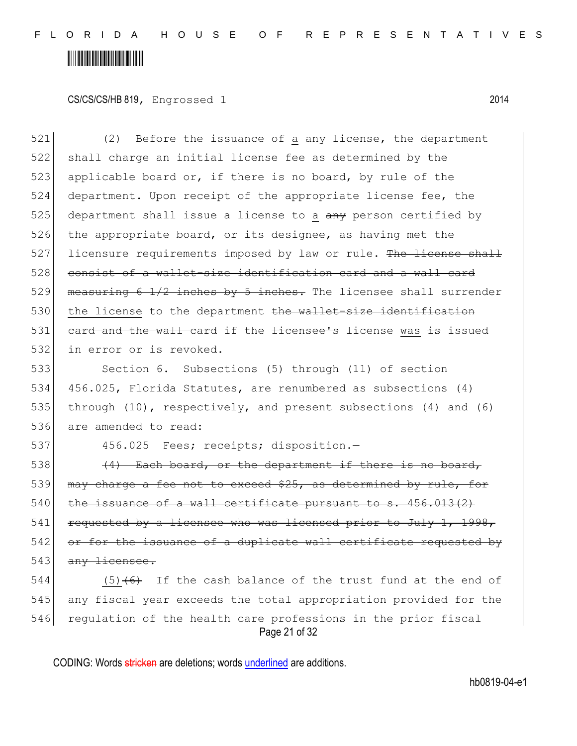CS/CS/CS/HB 819, Engrossed 1 2014

 $521$  (2) Before the issuance of a  $\frac{1}{2}$  any license, the department 522 shall charge an initial license fee as determined by the 523 applicable board or, if there is no board, by rule of the 524 department. Upon receipt of the appropriate license fee, the  $525$  department shall issue a license to a  $\frac{1}{2}$  derived by 526 the appropriate board, or its designee, as having met the 527 licensure requirements imposed by law or rule. The license shall 528 consist of a wallet-size identification card and a wall card 529 measuring  $6$   $1/2$  inches by 5 inches. The licensee shall surrender 530 the license to the department the wallet-size identification 531 card and the wall card if the licensee's license was is issued 532 in error or is revoked.

 Section 6. Subsections (5) through (11) of section 456.025, Florida Statutes, are renumbered as subsections (4) through (10), respectively, and present subsections (4) and (6) 536 are amended to read:

537 456.025 Fees; receipts; disposition.-

 $538$  (4) Each board, or the department if there is no board, 539 may charge a fee not to exceed \$25, as determined by rule, for  $540$  the issuance of a wall certificate pursuant to s.  $456.013(2)$ 541 requested by a licensee who was licensed prior to July 1, 1998, 542 or for the issuance of a duplicate wall certificate requested by 543 any licensee.

Page 21 of 32 544 (5) $(6)$  If the cash balance of the trust fund at the end of 545 any fiscal year exceeds the total appropriation provided for the 546 regulation of the health care professions in the prior fiscal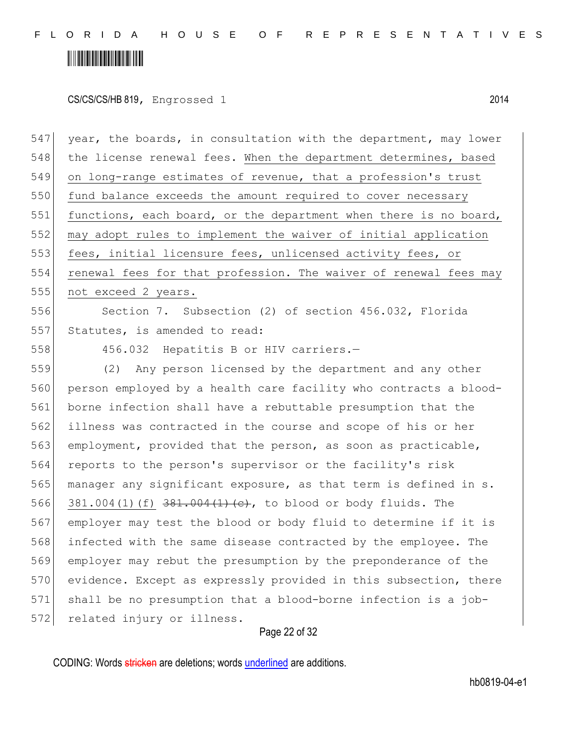CS/CS/CS/HB 819, Engrossed 1 2014

Page 22 of 32 547 year, the boards, in consultation with the department, may lower 548 the license renewal fees. When the department determines, based 549 on long-range estimates of revenue, that a profession's trust 550 fund balance exceeds the amount required to cover necessary 551 functions, each board, or the department when there is no board, 552 may adopt rules to implement the waiver of initial application 553 fees, initial licensure fees, unlicensed activity fees, or 554 renewal fees for that profession. The waiver of renewal fees may 555 not exceed 2 years. 556 Section 7. Subsection (2) of section 456.032, Florida 557 Statutes, is amended to read: 558 456.032 Hepatitis B or HIV carriers.— 559 (2) Any person licensed by the department and any other 560 person employed by a health care facility who contracts a blood-561 borne infection shall have a rebuttable presumption that the 562 illness was contracted in the course and scope of his or her 563 employment, provided that the person, as soon as practicable, 564 reports to the person's supervisor or the facility's risk 565 manager any significant exposure, as that term is defined in s. 566 381.004(1)(f)  $381.004(1)$  (e), to blood or body fluids. The 567 employer may test the blood or body fluid to determine if it is 568 infected with the same disease contracted by the employee. The 569 employer may rebut the presumption by the preponderance of the 570 evidence. Except as expressly provided in this subsection, there 571 shall be no presumption that a blood-borne infection is a job-572 related injury or illness.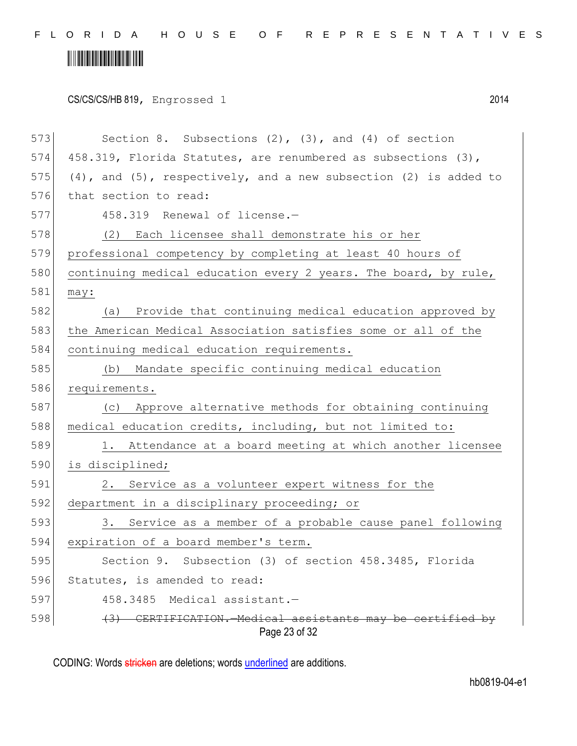# 

CS/CS/CS/HB 819, Engrossed 1 2014

| 573<br>Section 8. Subsections $(2)$ , $(3)$ , and $(4)$ of section              |  |  |  |
|---------------------------------------------------------------------------------|--|--|--|
|                                                                                 |  |  |  |
| 574<br>458.319, Florida Statutes, are renumbered as subsections (3),            |  |  |  |
| 575<br>$(4)$ , and $(5)$ , respectively, and a new subsection $(2)$ is added to |  |  |  |
| 576<br>that section to read:                                                    |  |  |  |
| 577<br>458.319 Renewal of license.-                                             |  |  |  |
| 578<br>(2) Each licensee shall demonstrate his or her                           |  |  |  |
| 579<br>professional competency by completing at least 40 hours of               |  |  |  |
| 580<br>continuing medical education every 2 years. The board, by rule,          |  |  |  |
| 581<br>may:                                                                     |  |  |  |
| 582<br>(a) Provide that continuing medical education approved by                |  |  |  |
| 583<br>the American Medical Association satisfies some or all of the            |  |  |  |
| 584<br>continuing medical education requirements.                               |  |  |  |
| 585<br>(b) Mandate specific continuing medical education                        |  |  |  |
| 586<br>requirements.                                                            |  |  |  |
| 587<br>(c) Approve alternative methods for obtaining continuing                 |  |  |  |
| 588<br>medical education credits, including, but not limited to:                |  |  |  |
| 589<br>1. Attendance at a board meeting at which another licensee               |  |  |  |
| 590<br>is disciplined;                                                          |  |  |  |
| 591<br>2. Service as a volunteer expert witness for the                         |  |  |  |
| 592<br>department in a disciplinary proceeding; or                              |  |  |  |
| 593<br>3. Service as a member of a probable cause panel following               |  |  |  |
| 594<br>expiration of a board member's term.                                     |  |  |  |
| 595<br>Section 9. Subsection (3) of section 458.3485, Florida                   |  |  |  |
| 596<br>Statutes, is amended to read:                                            |  |  |  |
| 597<br>Medical assistant.-<br>458.3485                                          |  |  |  |
| 598<br>TIFICATION.—Medical assistants may be certified by<br>Page 23 of 32      |  |  |  |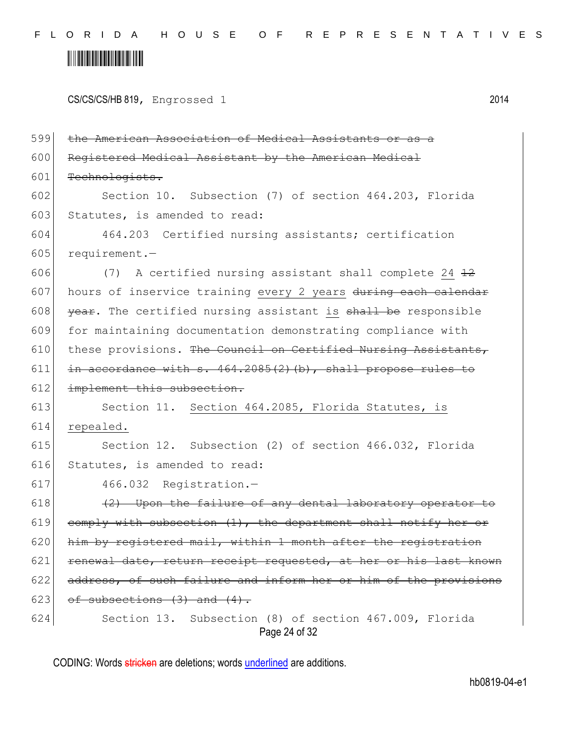#### <u> Alban Alban Martin Alban A</u>

|  | CS/CS/CS/HB 819, Engrossed 1 | 2014 |
|--|------------------------------|------|
|--|------------------------------|------|

Page 24 of 32 599 the American Association of Medical Assistants or 600 Registered Medical Assistant by the American Medical 601 Technologists. 602 Section 10. Subsection (7) of section 464.203, Florida 603 Statutes, is amended to read: 604 464.203 Certified nursing assistants; certification 605 requirement.-606  $(7)$  A certified nursing assistant shall complete 24  $\pm 2$ 607 hours of inservice training every 2 years during each calendar 608  $|$  year. The certified nursing assistant is shall be responsible 609 for maintaining documentation demonstrating compliance with 610 these provisions. The Council on Certified Nursing Assistants, 611  $\left| \right|$  in accordance with s. 464.2085(2)(b), shall propose rules to 612 implement this subsection. 613 Section 11. Section 464.2085, Florida Statutes, is 614 repealed. 615 Section 12. Subsection (2) of section 466.032, Florida 616 Statutes, is amended to read: 617 466.032 Registration.—  $618$  (2) Upon the failure of any dental laboratory operator to 619 comply with subsection  $(1)$ , the department shall notify her or  $620$  him by registered mail, within 1 month after the registration 621 renewal date, return receipt requested, at her or his last known 622 address, of such failure and inform her or him of the provisions 623 of subsections  $(3)$  and  $(4)$ . 624 Section 13. Subsection (8) of section 467.009, Florida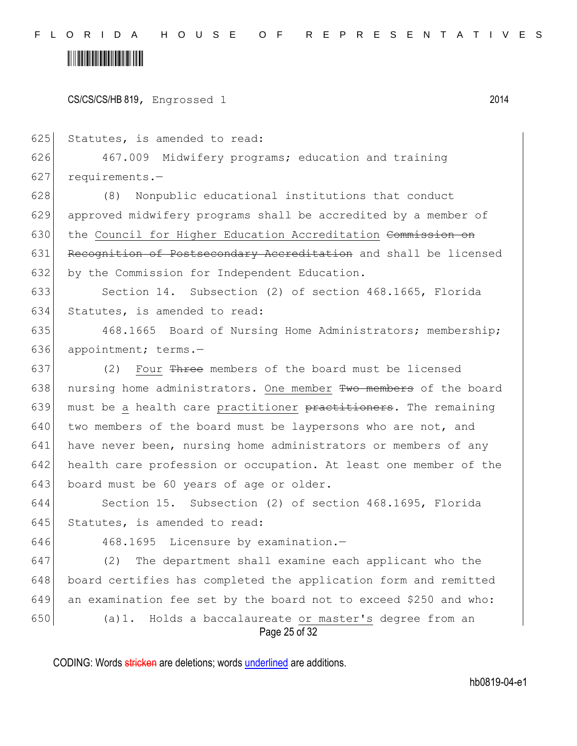CS/CS/CS/HB 819, Engrossed 1 2014

625 Statutes, is amended to read:

626 467.009 Midwifery programs; education and training 627 requirements.—

628 (8) Nonpublic educational institutions that conduct 629 approved midwifery programs shall be accredited by a member of 630 the Council for Higher Education Accreditation Commission on 631 Recognition of Postsecondary Accreditation and shall be licensed 632 by the Commission for Independent Education.

633 Section 14. Subsection (2) of section 468.1665, Florida 634 Statutes, is amended to read:

635 468.1665 Board of Nursing Home Administrators; membership; 636 appointment; terms.-

637 (2) Four  $\frac{m}{2}$  members of the board must be licensed 638 nursing home administrators. One member Two members of the board 639 must be a health care practitioner practitioners. The remaining 640 two members of the board must be laypersons who are not, and 641 have never been, nursing home administrators or members of any 642 health care profession or occupation. At least one member of the 643 board must be 60 years of age or older.

644 Section 15. Subsection (2) of section 468.1695, Florida 645 Statutes, is amended to read:

646 468.1695 Licensure by examination.-

Page 25 of 32 647 (2) The department shall examine each applicant who the 648 board certifies has completed the application form and remitted 649 an examination fee set by the board not to exceed \$250 and who: 650 (a)1. Holds a baccalaureate or master's degree from an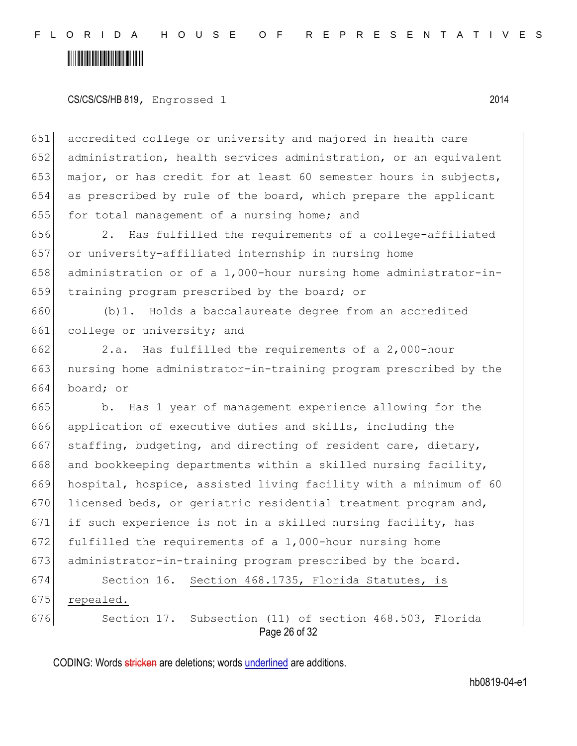#### <u> III III III III III III III II</u>

CS/CS/CS/HB 819, Engrossed 1 2014

651 accredited college or university and majored in health care 652 administration, health services administration, or an equivalent 653 major, or has credit for at least 60 semester hours in subjects, 654 as prescribed by rule of the board, which prepare the applicant 655 for total management of a nursing home; and

 2. Has fulfilled the requirements of a college-affiliated or university-affiliated internship in nursing home 658 administration or of a 1,000-hour nursing home administrator-in-training program prescribed by the board; or

660 (b)1. Holds a baccalaureate degree from an accredited 661 college or university; and

662 2.a. Has fulfilled the requirements of a 2,000-hour 663 nursing home administrator-in-training program prescribed by the 664 board; or

665 b. Has 1 year of management experience allowing for the 666 application of executive duties and skills, including the 667 staffing, budgeting, and directing of resident care, dietary, 668 and bookkeeping departments within a skilled nursing facility, 669 hospital, hospice, assisted living facility with a minimum of 60 670 licensed beds, or geriatric residential treatment program and, 671 if such experience is not in a skilled nursing facility, has 672 fulfilled the requirements of a 1,000-hour nursing home 673 administrator-in-training program prescribed by the board. 674 Section 16. Section 468.1735, Florida Statutes, is

675 repealed.

676 Section 17. Subsection (11) of section 468.503, Florida

Page 26 of 32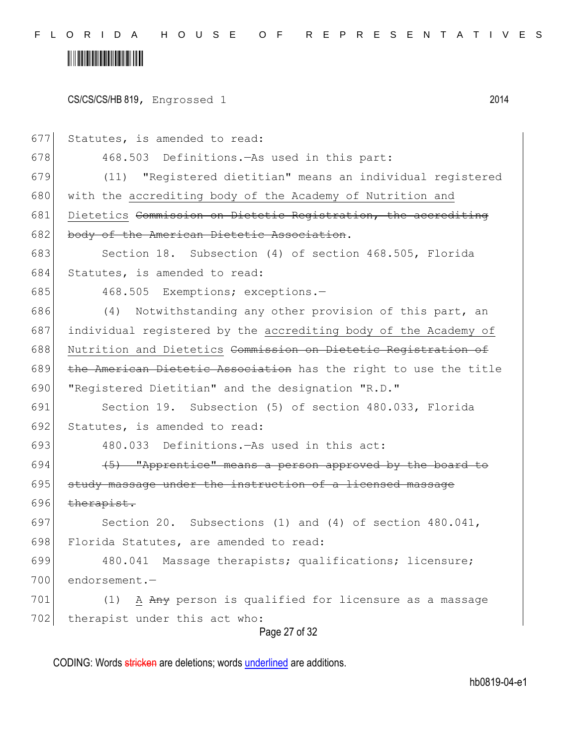#### <u> Alban Alban Martin Alban A</u>

|  | CS/CS/CS/HB 819, Engrossed 1 | 2014 |
|--|------------------------------|------|
|--|------------------------------|------|

Page 27 of 32 677 Statutes, is amended to read: 678 468.503 Definitions.—As used in this part: 679 (11) "Registered dietitian" means an individual registered 680 with the accrediting body of the Academy of Nutrition and 681 Dietetics Commission on Dietetic Registration, the accrediting 682 body of the American Dietetic Association. 683 Section 18. Subsection (4) of section 468.505, Florida 684 Statutes, is amended to read: 685 468.505 Exemptions; exceptions.-686 (4) Notwithstanding any other provision of this part, an 687 individual registered by the accrediting body of the Academy of 688 Nutrition and Dietetics Commission on Dietetic Registration of 689 the American Dietetic Association has the right to use the title 690 "Registered Dietitian" and the designation "R.D." 691 Section 19. Subsection (5) of section 480.033, Florida 692 Statutes, is amended to read: 693 480.033 Definitions.—As used in this act: 694  $(5)$  "Apprentice" means a person approved by the board to 695 study massage under the instruction of a licensed massage 696  $the$ rapist. 697 Section 20. Subsections (1) and (4) of section 480.041, 698 Florida Statutes, are amended to read: 699 480.041 Massage therapists; qualifications; licensure; 700 endorsement.— 701  $(1)$  A Any person is qualified for licensure as a massage 702 therapist under this act who: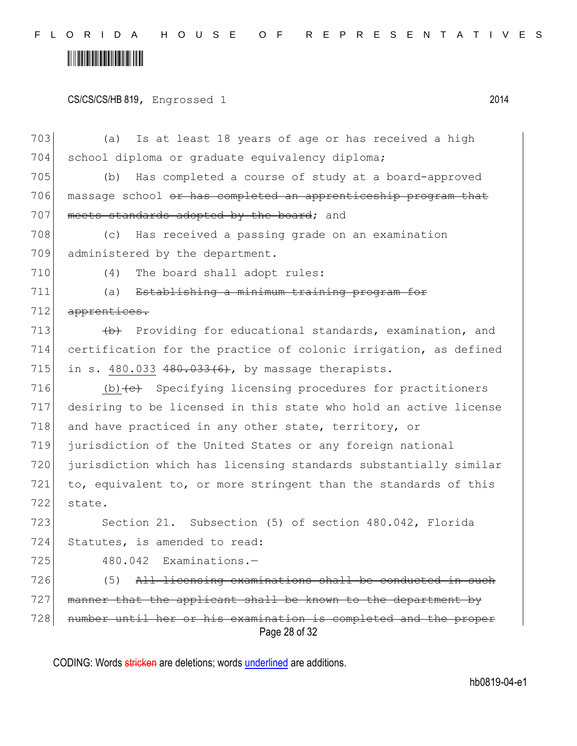### <u> Alban Alban Martin Alban A</u>

#### CS/CS/CS/HB 819, Engrossed 1 2014

Page 28 of 32 703 (a) Is at least 18 years of age or has received a high 704 school diploma or graduate equivalency diploma; 705 (b) Has completed a course of study at a board-approved 706 massage school <del>or has completed an apprenticeship program that</del> 707 meets standards adopted by the board; and 708 (c) Has received a passing grade on an examination 709 administered by the department. 710 (4) The board shall adopt rules: 711 (a) Establishing a minimum training program for 712 apprentices. 713 (b) Providing for educational standards, examination, and 714 certification for the practice of colonic irrigation, as defined 715 in s. 480.033  $480.033(6)$ , by massage therapists. 716  $(b)$  + C+ Specifying licensing procedures for practitioners 717 desiring to be licensed in this state who hold an active license 718 and have practiced in any other state, territory, or 719 jurisdiction of the United States or any foreign national 720 jurisdiction which has licensing standards substantially similar 721 to, equivalent to, or more stringent than the standards of this 722 state. 723 Section 21. Subsection (5) of section 480.042, Florida 724 Statutes, is amended to read: 725 480.042 Examinations. 726 (5) All licensing examinations shall be conducted in such 727 manner that the applicant shall be known to the department by 728 number until her or his examination is completed and the proper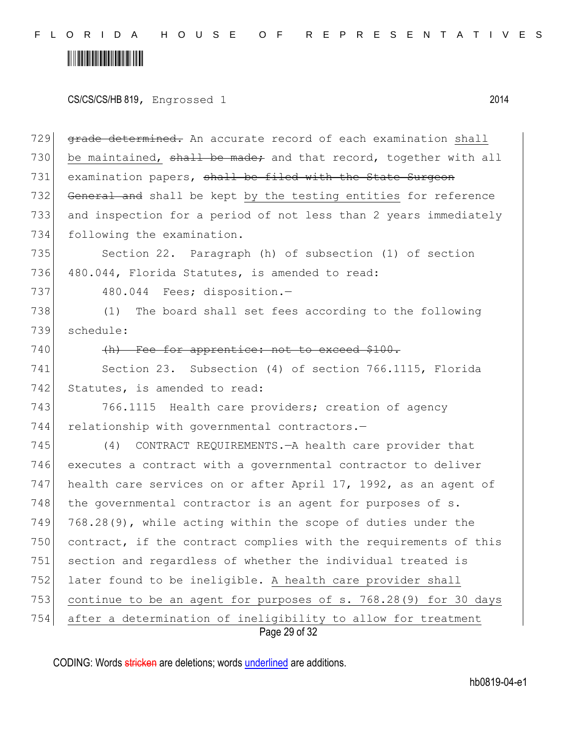### <u> III III III III III III III II</u>

CS/CS/CS/HB 819, Engrossed 1 2014

Page 29 of 32 729 grade determined. An accurate record of each examination shall 730 be maintained,  $\frac{1}{2}$   $\frac{1}{2}$  be made; and that record, together with all 731 examination papers, shall be filed with the State Surgeon 732 General and shall be kept by the testing entities for reference 733 and inspection for a period of not less than 2 years immediately 734 following the examination. 735 Section 22. Paragraph (h) of subsection (1) of section 736 480.044, Florida Statutes, is amended to read: 737 480.044 Fees; disposition.-738 (1) The board shall set fees according to the following 739 schedule: 740 (h) Fee for apprentice: not to exceed \$100. 741 Section 23. Subsection (4) of section 766.1115, Florida 742 Statutes, is amended to read: 743 766.1115 Health care providers; creation of agency 744 relationship with governmental contractors.-745 (4) CONTRACT REQUIREMENTS.—A health care provider that 746 executes a contract with a governmental contractor to deliver 747 health care services on or after April 17, 1992, as an agent of  $748$  the governmental contractor is an agent for purposes of s. 749 768.28(9), while acting within the scope of duties under the 750 contract, if the contract complies with the requirements of this 751 section and regardless of whether the individual treated is 752 later found to be ineligible. A health care provider shall 753 continue to be an agent for purposes of s. 768.28(9) for 30 days 754 after a determination of ineligibility to allow for treatment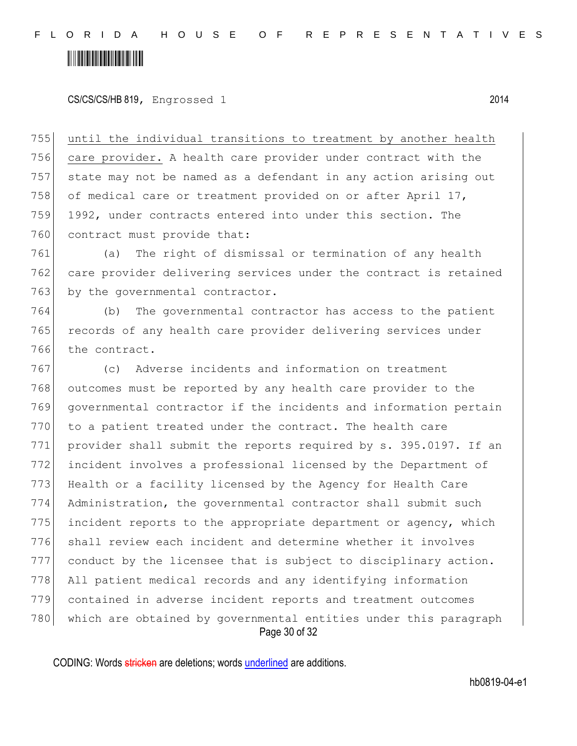### <u> III III III III III III III II</u>

CS/CS/CS/HB 819, Engrossed 1 2014

 until the individual transitions to treatment by another health care provider. A health care provider under contract with the state may not be named as a defendant in any action arising out 758 of medical care or treatment provided on or after April  $17$ , 1992, under contracts entered into under this section. The 760 contract must provide that:

761 (a) The right of dismissal or termination of any health 762 care provider delivering services under the contract is retained 763 by the governmental contractor.

764 (b) The governmental contractor has access to the patient 765 records of any health care provider delivering services under 766 the contract.

Page 30 of 32 (c) Adverse incidents and information on treatment 768 outcomes must be reported by any health care provider to the governmental contractor if the incidents and information pertain to a patient treated under the contract. The health care 771 provider shall submit the reports required by s. 395.0197. If an incident involves a professional licensed by the Department of Health or a facility licensed by the Agency for Health Care Administration, the governmental contractor shall submit such 775 incident reports to the appropriate department or agency, which shall review each incident and determine whether it involves conduct by the licensee that is subject to disciplinary action. All patient medical records and any identifying information contained in adverse incident reports and treatment outcomes 780 which are obtained by governmental entities under this paragraph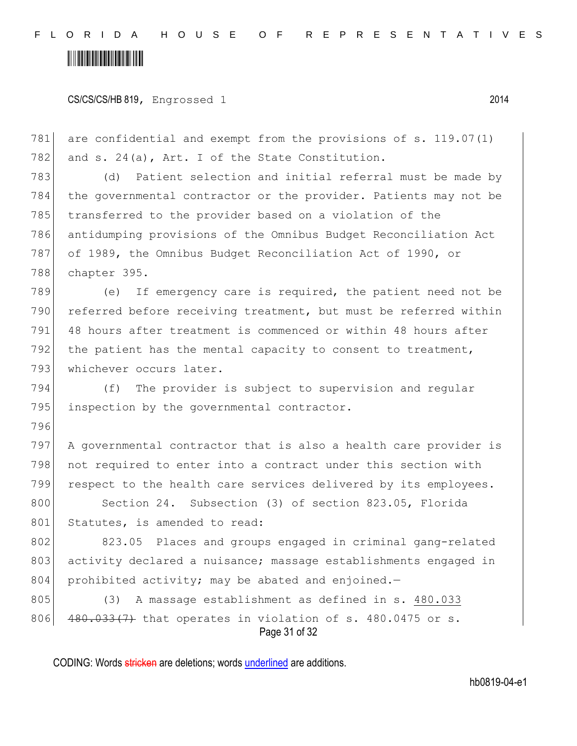# <u> III III III III III III III II</u>

CS/CS/CS/HB 819, Engrossed 1 2014

781 are confidential and exempt from the provisions of s. 119.07(1) 782 and  $s. 24(a)$ , Art. I of the State Constitution. (d) Patient selection and initial referral must be made by the governmental contractor or the provider. Patients may not be transferred to the provider based on a violation of the antidumping provisions of the Omnibus Budget Reconciliation Act of 1989, the Omnibus Budget Reconciliation Act of 1990, or

788 chapter 395.

796

789 (e) If emergency care is required, the patient need not be 790 referred before receiving treatment, but must be referred within 791| 48 hours after treatment is commenced or within 48 hours after 792 the patient has the mental capacity to consent to treatment, 793 whichever occurs later.

794 (f) The provider is subject to supervision and regular 795 inspection by the governmental contractor.

797 A governmental contractor that is also a health care provider is 798 not required to enter into a contract under this section with 799 respect to the health care services delivered by its employees.

800 Section 24. Subsection (3) of section 823.05, Florida 801 Statutes, is amended to read:

802 823.05 Places and groups engaged in criminal gang-related 803 activity declared a nuisance; massage establishments engaged in 804 prohibited activity; may be abated and enjoined. $-$ 

Page 31 of 32 805 (3) A massage establishment as defined in s. 480.033 806  $\left(480.033(7)\right)$  that operates in violation of s. 480.0475 or s.